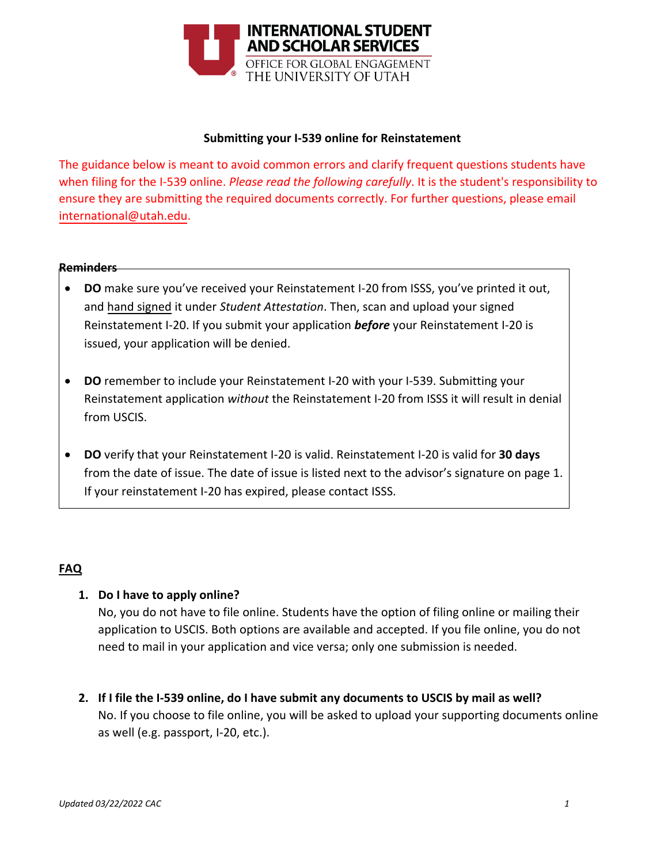

#### **Submitting your I-539 online for Reinstatement**

The guidance below is meant to avoid common errors and clarify frequent questions students have when filing for the I-539 online. *Please read the following carefully*. It is the student's responsibility to [ensure they are submittin](mailto:international@utah.edu)g the required documents correctly. For further questions, please email international@utah.edu.

#### **Reminders**

- **DO** make sure you've received your Reinstatement I-20 from ISSS, you've printed it out, and hand signed it under *Student Attestation*. Then, scan and upload your signed Reinstatement I-20. If you submit your application *before* your Reinstatement I-20 is issued, your application will be denied.
- **DO** remember to include your Reinstatement I-20 with your I-539. Submitting your Reinstatement application *without* the Reinstatement I-20 from ISSS it will result in denial from USCIS.
- **DO** verify that your Reinstatement I-20 is valid. Reinstatement I-20 is valid for **30 days** from the date of issue. The date of issue is listed next to the advisor's signature on page 1. If your reinstatement I-20 has expired, please contact ISSS.

#### **FAQ**

#### **1. Do I have to apply online?**

No, you do not have to file online. Students have the option of filing online or mailing their application to USCIS. Both options are available and accepted. If you file online, you do not need to mail in your application and vice versa; only one submission is needed.

**2. If I file the I-539 online, do I have submit any documents to USCIS by mail as well?** No. If you choose to file online, you will be asked to upload your supporting documents online as well (e.g. passport, I-20, etc.).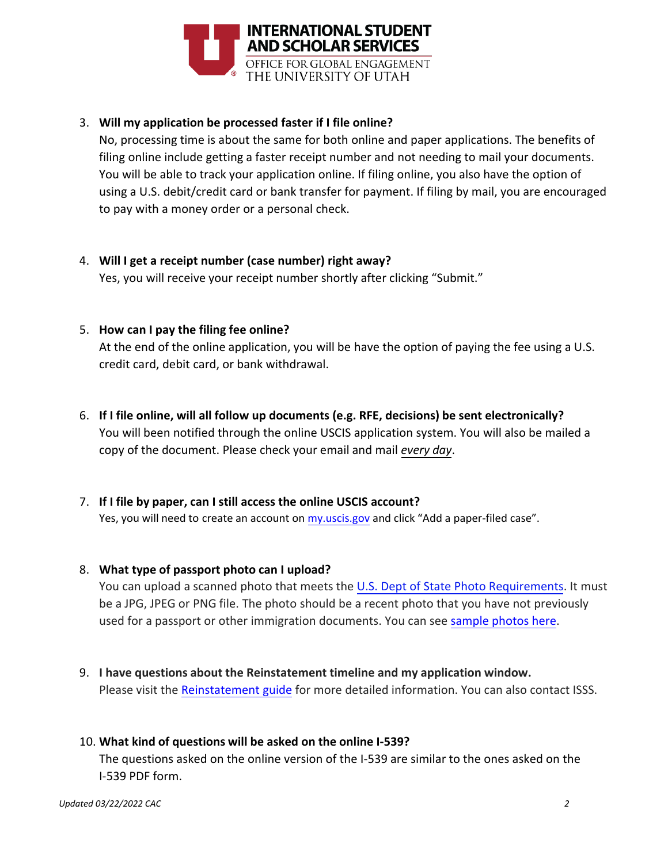

## 3. **Will my application be processed faster if I file online?**

No, processing time is about the same for both online and paper applications. The benefits of filing online include getting a faster receipt number and not needing to mail your documents. You will be able to track your application online. If filing online, you also have the option of using a U.S. debit/credit card or bank transfer for payment. If filing by mail, you are encouraged to pay with a money order or a personal check.

4. **Will I get a receipt number (case number) right away?** Yes, you will receive your receipt number shortly after clicking "Submit."

## 5. **How can I pay the filing fee online?**

At the end of the online application, you will be have the option of paying the fee using a U.S. credit card, debit card, or bank withdrawal.

6. **If I file online, will all follow up documents (e.g. RFE, decisions) be sent electronically?** You will been notified through the online USCIS application system. You will also be mailed a copy of the document. Please check your email and mail *every day*.

# 7. **If I file by paper, can I still access the online USCIS account?**

Yes, you will need to create an account on [my.uscis.gov](https://my.uscis.gov/) and click "Add a paper-filed case".

#### 8. **What type of passport photo can I upload?**

You can upload a scanned photo that meets th[e U.S. Dept of State Photo Requirements.](https://travel.state.gov/content/travel/en/us-visas/visa-information-resources/photos.html) It must be a JPG, JPEG or PNG file. The photo should be a recent photo that you have not previously used for a passport or other immigration documents. You can see [sample photos here.](https://travel.state.gov/content/travel/en/us-visas/visa-information-resources/photos/photo-examples.html)

9. **I have questions about the Reinstatement timeline and my application window.** Please visit the [Reinstatement guide](https://isss.utah.edu/forms-publications/documents/f1-reinstatement-uscis-guide.pdf) for more detailed information. You can also contact ISSS.

#### 10. **What kind of questions will be asked on the online I-539?**

The questions asked on the online version of the I-539 are similar to the ones asked on the I-539 PDF form.